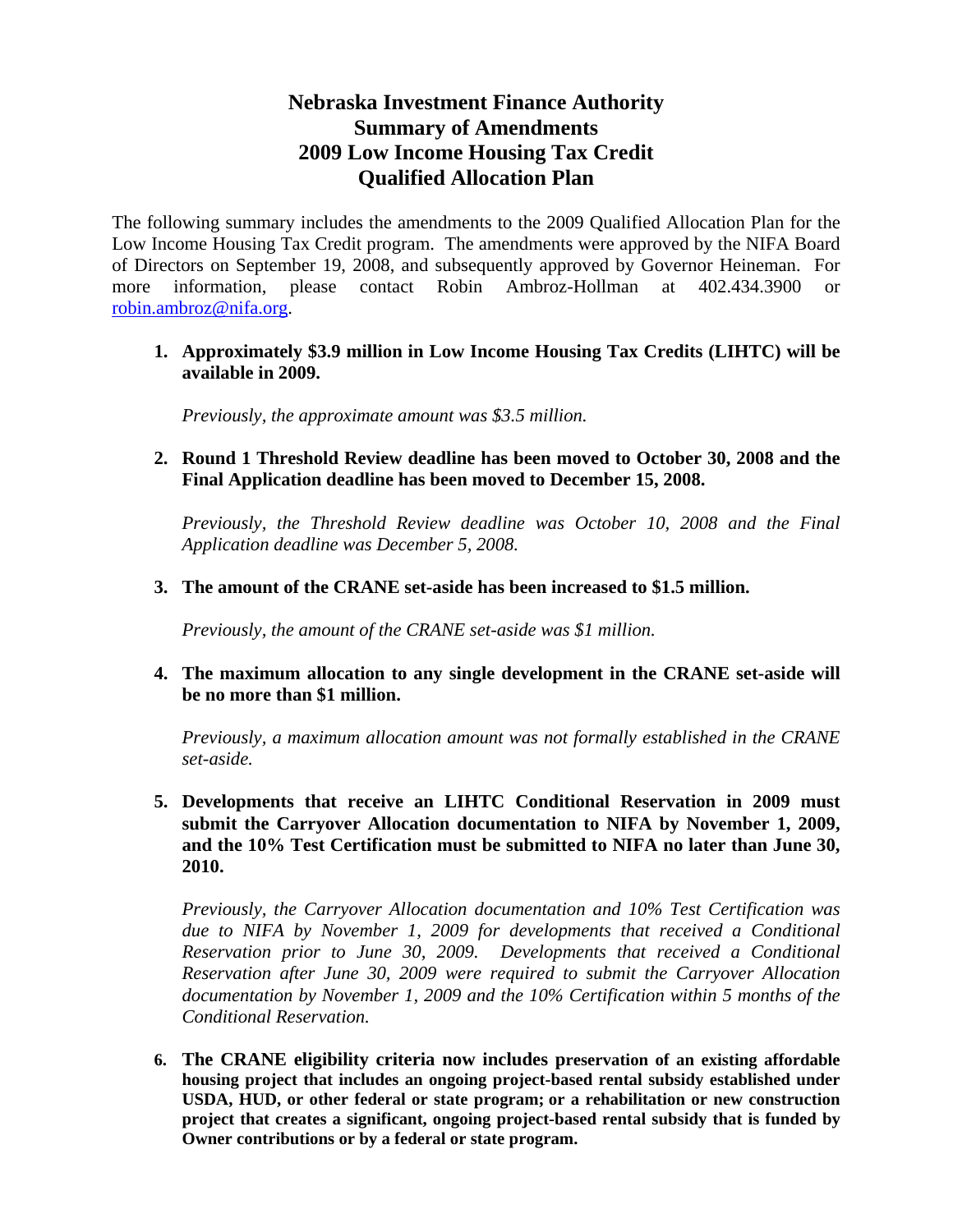## **Nebraska Investment Finance Authority Summary of Amendments 2009 Low Income Housing Tax Credit Qualified Allocation Plan**

The following summary includes the amendments to the 2009 Qualified Allocation Plan for the Low Income Housing Tax Credit program. The amendments were approved by the NIFA Board of Directors on September 19, 2008, and subsequently approved by Governor Heineman. For more information, please contact Robin Ambroz-Hollman at 402.434.3900 or robin.ambroz@nifa.org.

**1. Approximately \$3.9 million in Low Income Housing Tax Credits (LIHTC) will be available in 2009.** 

*Previously, the approximate amount was \$3.5 million.* 

**2. Round 1 Threshold Review deadline has been moved to October 30, 2008 and the Final Application deadline has been moved to December 15, 2008.** 

*Previously, the Threshold Review deadline was October 10, 2008 and the Final Application deadline was December 5, 2008.* 

**3. The amount of the CRANE set-aside has been increased to \$1.5 million.** 

*Previously, the amount of the CRANE set-aside was \$1 million.* 

**4. The maximum allocation to any single development in the CRANE set-aside will be no more than \$1 million.** 

*Previously, a maximum allocation amount was not formally established in the CRANE set-aside.* 

**5. Developments that receive an LIHTC Conditional Reservation in 2009 must submit the Carryover Allocation documentation to NIFA by November 1, 2009, and the 10% Test Certification must be submitted to NIFA no later than June 30, 2010.** 

*Previously, the Carryover Allocation documentation and 10% Test Certification was due to NIFA by November 1, 2009 for developments that received a Conditional Reservation prior to June 30, 2009. Developments that received a Conditional Reservation after June 30, 2009 were required to submit the Carryover Allocation documentation by November 1, 2009 and the 10% Certification within 5 months of the Conditional Reservation.* 

**6. The CRANE eligibility criteria now includes preservation of an existing affordable housing project that includes an ongoing project-based rental subsidy established under USDA, HUD, or other federal or state program; or a rehabilitation or new construction project that creates a significant, ongoing project-based rental subsidy that is funded by Owner contributions or by a federal or state program.**